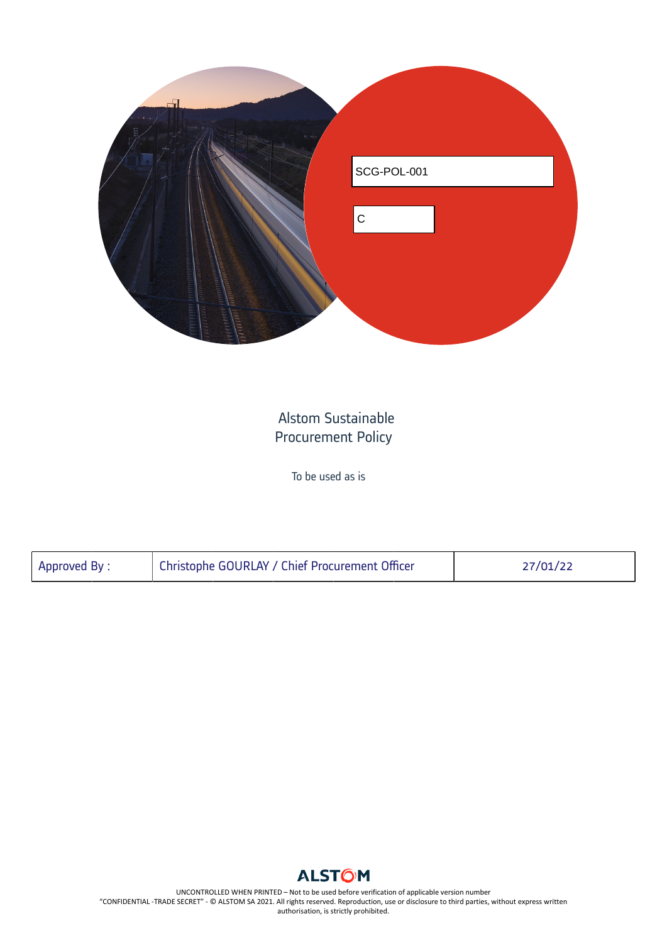

## Alstom Sustainable Procurement Policy

To be used as is

| Approved By : | Christophe GOURLAY / Chief Procurement Officer | 27/01/22 |
|---------------|------------------------------------------------|----------|
|               |                                                |          |